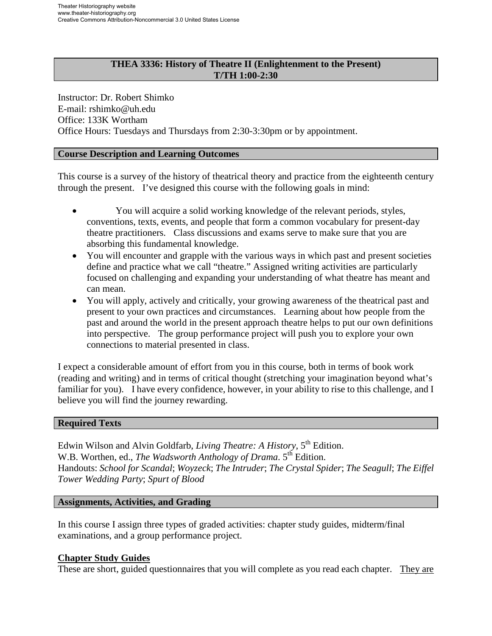## **THEA 3336: History of Theatre II (Enlightenment to the Present) T/TH 1:00-2:30**

Instructor: Dr. Robert Shimko E-mail: rshimko@uh.edu Office: 133K Wortham Office Hours: Tuesdays and Thursdays from 2:30-3:30pm or by appointment.

## **Course Description and Learning Outcomes**

This course is a survey of the history of theatrical theory and practice from the eighteenth century through the present. I've designed this course with the following goals in mind:

- You will acquire a solid working knowledge of the relevant periods, styles, conventions, texts, events, and people that form a common vocabulary for present-day theatre practitioners. Class discussions and exams serve to make sure that you are absorbing this fundamental knowledge.
- You will encounter and grapple with the various ways in which past and present societies define and practice what we call "theatre." Assigned writing activities are particularly focused on challenging and expanding your understanding of what theatre has meant and can mean.
- You will apply, actively and critically, your growing awareness of the theatrical past and present to your own practices and circumstances. Learning about how people from the past and around the world in the present approach theatre helps to put our own definitions into perspective. The group performance project will push you to explore your own connections to material presented in class.

I expect a considerable amount of effort from you in this course, both in terms of book work (reading and writing) and in terms of critical thought (stretching your imagination beyond what's familiar for you). I have every confidence, however, in your ability to rise to this challenge, and I believe you will find the journey rewarding.

### **Required Texts**

Edwin Wilson and Alvin Goldfarb, *Living Theatre: A History*, 5<sup>th</sup> Edition. W.B. Worthen, ed., *The Wadsworth Anthology of Drama*. 5<sup>th</sup> Edition. Handouts: *School for Scandal*; *Woyzeck*; *The Intruder*; *The Crystal Spider*; *The Seagull*; *The Eiffel Tower Wedding Party*; *Spurt of Blood* 

### **Assignments, Activities, and Grading**

In this course I assign three types of graded activities: chapter study guides, midterm/final examinations, and a group performance project.

### **Chapter Study Guides**

These are short, guided questionnaires that you will complete as you read each chapter. They are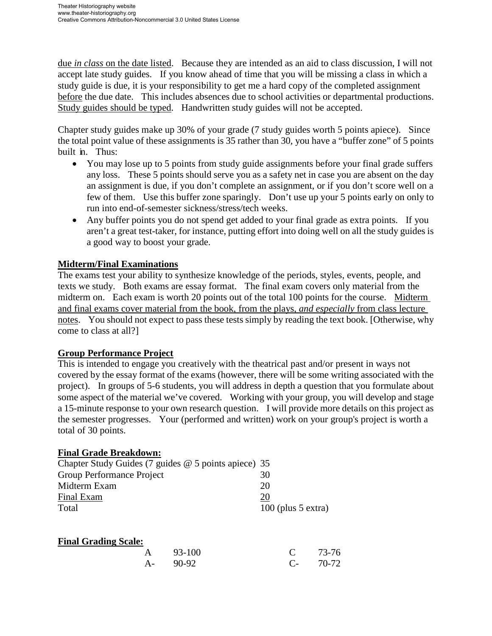due *in class* on the date listed. Because they are intended as an aid to class discussion, I will not accept late study guides. If you know ahead of time that you will be missing a class in which a study guide is due, it is your responsibility to get me a hard copy of the completed assignment before the due date. This includes absences due to school activities or departmental productions. Study guides should be typed. Handwritten study guides will not be accepted.

Chapter study guides make up 30% of your grade (7 study guides worth 5 points apiece). Since the total point value of these assignments is 35 rather than 30, you have a "buffer zone" of 5 points built in. Thus:

- You may lose up to 5 points from study guide assignments before your final grade suffers any loss. These 5 points should serve you as a safety net in case you are absent on the day an assignment is due, if you don't complete an assignment, or if you don't score well on a few of them. Use this buffer zone sparingly. Don't use up your 5 points early on only to run into end-of-semester sickness/stress/tech weeks.
- Any buffer points you do not spend get added to your final grade as extra points. If you aren't a great test-taker, for instance, putting effort into doing well on all the study guides is a good way to boost your grade.

# **Midterm/Final Examinations**

The exams test your ability to synthesize knowledge of the periods, styles, events, people, and texts we study. Both exams are essay format. The final exam covers only material from the midterm on. Each exam is worth 20 points out of the total 100 points for the course. Midterm and final exams cover material from the book, from the plays, *and especially* from class lecture notes. You should not expect to pass these tests simply by reading the text book. [Otherwise, why come to class at all?]

# **Group Performance Project**

This is intended to engage you creatively with the theatrical past and/or present in ways not covered by the essay format of the exams (however, there will be some writing associated with the project). In groups of 5-6 students, you will address in depth a question that you formulate about some aspect of the material we've covered. Working with your group, you will develop and stage a 15-minute response to your own research question. I will provide more details on this project as the semester progresses. Your (performed and written) work on your group's project is worth a total of 30 points.

# **Final Grade Breakdown:**

| Chapter Study Guides (7 guides $@$ 5 points apiece) 35 |                      |
|--------------------------------------------------------|----------------------|
| Group Performance Project                              | 30                   |
| Midterm Exam                                           | 20                   |
| Final Exam                                             | 20                   |
| Total                                                  | $100$ (plus 5 extra) |

| <b>Final Grading Scale:</b> |  |
|-----------------------------|--|
|                             |  |

|  | A 93-100 | $C = 73-76$ |  |
|--|----------|-------------|--|
|  | A- 90-92 | $C-70-72$   |  |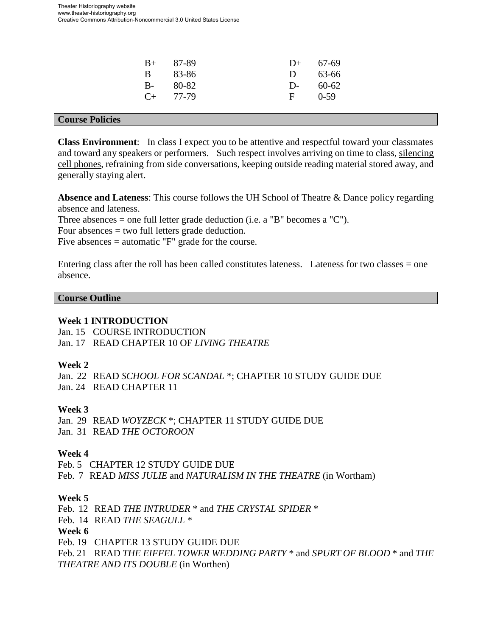| $B+ 87-89$    | $D+ 67-69$  |        |
|---------------|-------------|--------|
| B 83-86       | $D = 63-66$ |        |
| $B-80-82$     | $D-60-62$   |        |
| $C_{+}$ 77-79 | $F -$       | $0-59$ |
|               |             |        |

#### **Course Policies**

**Class Environment**: In class I expect you to be attentive and respectful toward your classmates and toward any speakers or performers. Such respect involves arriving on time to class, silencing cell phones, refraining from side conversations, keeping outside reading material stored away, and generally staying alert.

**Absence and Lateness**: This course follows the UH School of Theatre & Dance policy regarding absence and lateness.

Three absences = one full letter grade deduction (i.e. a "B" becomes a "C").

Four absences = two full letters grade deduction.

Five absences = automatic "F" grade for the course.

Entering class after the roll has been called constitutes lateness. Lateness for two classes = one absence.

#### **Course Outline**

### **Week 1 INTRODUCTION**

Jan. 15 COURSE INTRODUCTION Jan. 17 READ CHAPTER 10 OF *LIVING THEATRE*

### **Week 2**

Jan. 22 READ *SCHOOL FOR SCANDAL* \*; CHAPTER 10 STUDY GUIDE DUE Jan. 24 READ CHAPTER 11

### **Week 3**

Jan. 29 READ *WOYZECK* \*; CHAPTER 11 STUDY GUIDE DUE Jan. 31 READ *THE OCTOROON*

### **Week 4**

Feb. 5 CHAPTER 12 STUDY GUIDE DUE Feb. 7 READ *MISS JULIE* and *NATURALISM IN THE THEATRE* (in Wortham)

### **Week 5**

Feb. 12 READ *THE INTRUDER* \* and *THE CRYSTAL SPIDER* \* Feb. 14 READ *THE SEAGULL* \* **Week 6**  Feb. 19 CHAPTER 13 STUDY GUIDE DUE Feb. 21 READ *THE EIFFEL TOWER WEDDING PARTY* \* and *SPURT OF BLOOD* \* and *THE THEATRE AND ITS DOUBLE* (in Worthen)